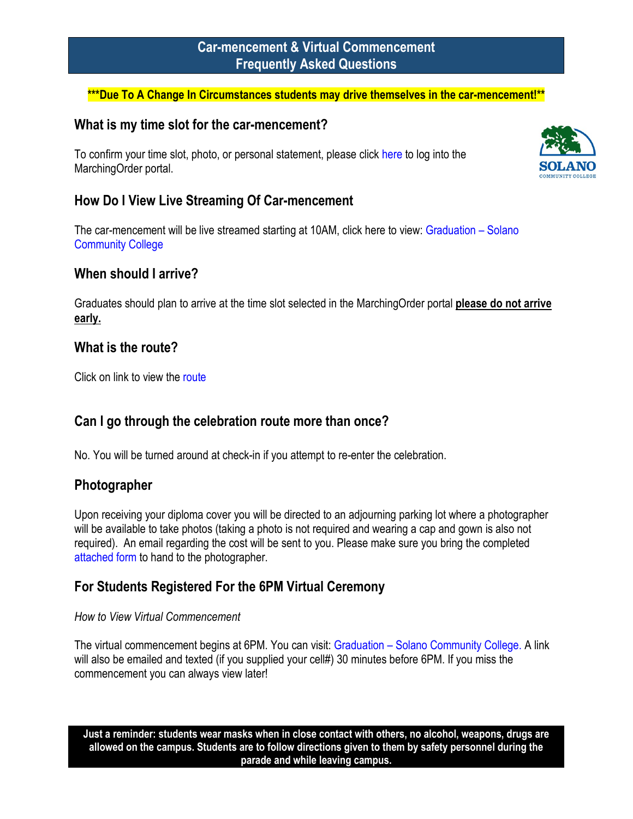# **Car-mencement & Virtual Commencement Frequently Asked Questions**

#### **\*\*\*Due To A Change In Circumstances students may drive themselves in the car-mencement!\*\***

### **What is my time slot for the car-mencement?**

To confirm your time slot, photo, or personal statement, please click [here](https://solano.marchingorder.com/#/) to log into the MarchingOrder portal.



The car-mencement will be live streamed starting at 10AM, click here to view[: Graduation –](https://welcome.solano.edu/graduation/) Solano [Community College](https://welcome.solano.edu/graduation/)

## **When should I arrive?**

Graduates should plan to arrive at the time slot selected in the MarchingOrder portal **please do not arrive early.**

### **What is the route?**

Click on link to view the [route](https://welcome.solano.edu/grad-route/)

## **Can I go through the celebration route more than once?**

No. You will be turned around at check-in if you attempt to re-enter the celebration.

## **Photographer**

Upon receiving your diploma cover you will be directed to an adjourning parking lot where a photographer will be available to take photos (taking a photo is not required and wearing a cap and gown is also not required). An email regarding the cost will be sent to you. Please make sure you bring the completed [attached form](https://solano.edu/Graduation/2022/Photographer%20Name%20INFO%20Card%202_22.pdf) to hand to the photographer.

## **For Students Registered For the 6PM Virtual Ceremony**

#### *How to View Virtual Commencement*

The virtual commencement begins at 6PM. You can visit: Graduation – [Solano Community College.](https://welcome.solano.edu/graduation/) A link will also be emailed and texted (if you supplied your cell#) 30 minutes before 6PM. If you miss the commencement you can always view later!

**Just a reminder: students wear masks when in close contact with others, no alcohol, weapons, drugs are allowed on the campus. Students are to follow directions given to them by safety personnel during the parade and while leaving campus.**